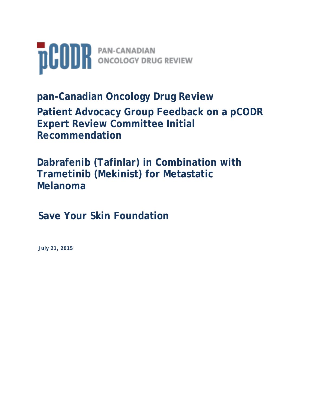

**pan-Canadian Oncology Drug Review Patient Advocacy Group Feedback on a pCODR Expert Review Committee Initial Recommendation**

**Dabrafenib (Tafinlar) in Combination with Trametinib (Mekinist) for Metastatic Melanoma**

**Save Your Skin Foundation**

**July 21, 2015**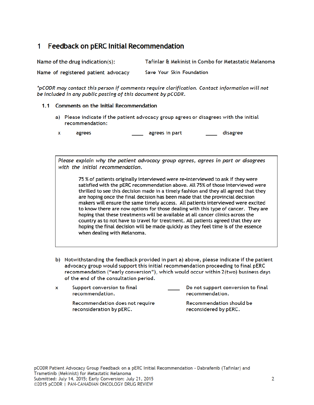## 1 Feedback on pERC Initial Recommendation

| Name of the drug indication(s):     | Tafinlar & Mekinist in Combo for Metastatic Melanoma |
|-------------------------------------|------------------------------------------------------|
| Name of registered patient advocacy | Save Your Skin Foundation                            |

\*pCODR may contact this person if comments require clarification. Contact information will not be included in any public posting of this document by pCODR.

#### 1.1 Comments on the Initial Recommendation

a) Please indicate if the patient advocacy group agrees or disagrees with the initial recommendation:

 $\equiv$  agrees in part agrees disagree  $\mathbf{x}$ 

Please explain why the patient advocacy group agrees, agrees in part or disagrees with the initial recommendation.

75 % of patients originally interviewed were re-interviewed to ask if they were satisfied with the pERC recommendation above. All 75% of those interviewed were thrilled to see this decision made in a timely fashion and they all agreed that they are hoping once the final decision has been made that the provincial decision makers will ensure the same timely access. All patients interviewed were excited to know there are now options for those dealing with this type of cancer. They are hoping that these treatments will be available at all cancer clinics across the country as to not have to travel for treatment. All patients agreed that they are hoping the final decision will be made quickly as they feel time is of the essence when dealing with Melanoma.

b) Notwithstanding the feedback provided in part a) above, please indicate if the patient advocacy group would support this initial recommendation proceeding to final pERC recommendation ("early conversion"), which would occur within 2(two) business days of the end of the consultation period.

|  | Support conversion to final<br>recommendation.              | Do not support conversion to final<br>recommendation. |
|--|-------------------------------------------------------------|-------------------------------------------------------|
|  | Recommendation does not require<br>reconsideration by pERC. | Recommendation should be<br>reconsidered by pERC.     |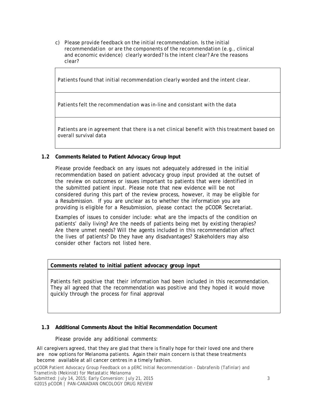c) Please provide feedback on the initial recommendation. Is the initial recommendation or are the components of the recommendation (e.g., clinical and economic evidence) clearly worded? Is the intent clear? Are the reasons clear?

Patients found that initial recommendation clearly worded and the intent clear.

Patients felt the recommendation was in-line and consistant with the data

Patients are in agreement that there is a net clinical benefit with this treatment based on overall survival data

### **1.2 Comments Related to Patient Advocacy Group Input**

Please provide feedback on any issues not adequately addressed in the initial recommendation based on patient advocacy group input provided at the outset of the review on outcomes or issues important to patients that were identified in the submitted patient input. Please note that new evidence will be not considered during this part of the review process, however, it may be eligible for a Resubmission. If you are unclear as to whether the information you are providing is eligible for a Resubmission, please contact the pCODR Secretariat.

Examples of issues to consider include: what are the impacts of the condition on patients' daily living? Are the needs of patients being met by existing therapies? Are there unmet needs? Will the agents included in this recommendation affect the lives of patients? Do they have any disadvantages? Stakeholders may also consider other factors not listed here.

#### **Comments related to initial patient advocacy group input**

Patients felt positive that their information had been included in this recommendation. They all agreed that the recommendation was positive and they hoped it would move quickly through the process for final approval

#### **1.3 Additional Comments About the Initial Recommendation Document**

#### Please provide any additional comments:

All caregivers agreed, that they are glad that there is finally hope for their loved one and there are now options for Melanoma patients. Again their main concern is that these treatments become available at all cancer centres in a timely fashion.

pCODR Patient Advocacy Group Feedback on a pERC Initial Recommendation - Dabrafenib (Tafinlar) and Trametinib (Mekinist) for Metastatic Melanoma

Submitted: July 14, 2015; Early Conversion: July 21, 2015 38 (2015) 38 (2016) 38 ©2015 pCODR | PAN-CANADIAN ONCOLOGY DRUG REVIEW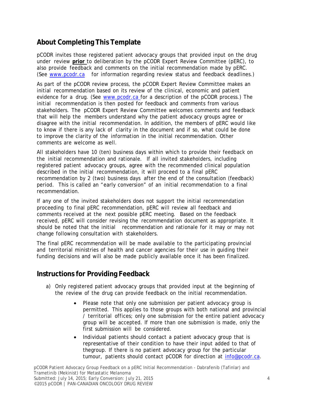# **About Completing This Template**

pCODR invites those registered patient advocacy groups that provided input on the drug under review **prior** to deliberation by the pCODR Expert Review Committee (pERC), to also provide feedback and comments on the initial recommendation made by pERC. (See www.pcodr.ca for information regarding review status and feedback deadlines.)

As part of the pCODR review process, the pCODR Expert Review Committee makes an initial recommendation based on its review of the clinical, economic and patient evidence for a drug. (See www.pcodr.ca for a description of the pCODR process.) The initial recommendation is then posted for feedback and comments from various stakeholders. The pCODR Expert Review Committee welcomes comments and feedback that will help the members understand why the patient advocacy groups agree or disagree with the initial recommendation. In addition, the members of pERC would like to know if there is any lack of clarity in the document and if so, what could be done to improve the clarity of the information in the initial recommendation. Other comments are welcome as well.

All stakeholders have 10 (ten) business days within which to provide their feedback on the initial recommendation and rationale. If all invited stakeholders, including registered patient advocacy groups, agree with the recommended clinical population described in the initial recommendation, it will proceed to a final pERC recommendation by 2 (two) business days after the end of the consultation (feedback) period. This is called an "early conversion" of an initial recommendation to a final recommendation.

If any one of the invited stakeholders does not support the initial recommendation proceeding to final pERC recommendation, pERC will review all feedback and comments received at the next possible pERC meeting. Based on the feedback received, pERC will consider revising the recommendation document as appropriate. It should be noted that the initial recommendation and rationale for it may or may not change following consultation with stakeholders.

The final pERC recommendation will be made available to the participating provincial and territorial ministries of health and cancer agencies for their use in guiding their funding decisions and will also be made publicly available once it has been finalized.

### **Instructions for Providing Feedback**

- a) Only registered patient advocacy groups that provided input at the beginning of the review of the drug can provide feedback on the initial recommendation.
	- Please note that only one submission per patient advocacy group is permitted. This applies to those groups with both national and provincial / territorial offices; only one submission for the entire patient advocacy group will be accepted. If more than one submission is made, only the first submission will be considered.
	- Individual patients should contact a patient advocacy group that is representative of their condition to have their input added to that of thegroup. If there is no patient advocacy group for the particular tumour, patients should contact pCODR for direction at info@pcodr.ca.